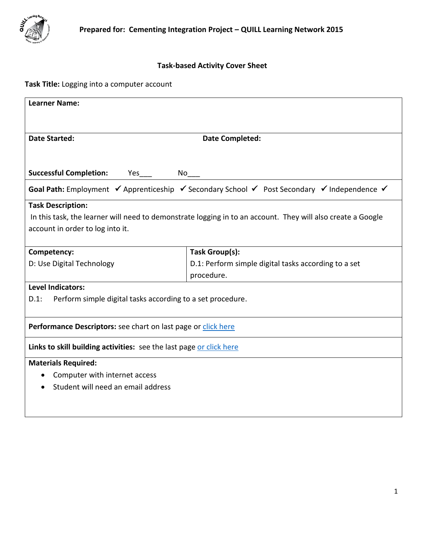

# **Task-based Activity Cover Sheet**

# **Task Title:** Logging into a computer account

| <b>Learner Name:</b>                                                  |                                                                                                             |  |  |  |
|-----------------------------------------------------------------------|-------------------------------------------------------------------------------------------------------------|--|--|--|
|                                                                       |                                                                                                             |  |  |  |
| <b>Date Started:</b>                                                  | <b>Date Completed:</b>                                                                                      |  |  |  |
|                                                                       |                                                                                                             |  |  |  |
| <b>Successful Completion:</b><br>No<br>Yes                            |                                                                                                             |  |  |  |
|                                                                       | Goal Path: Employment V Apprenticeship V Secondary School V Post Secondary V Independence V                 |  |  |  |
| <b>Task Description:</b>                                              |                                                                                                             |  |  |  |
|                                                                       | In this task, the learner will need to demonstrate logging in to an account. They will also create a Google |  |  |  |
| account in order to log into it.                                      |                                                                                                             |  |  |  |
| Competency:                                                           | Task Group(s):                                                                                              |  |  |  |
| D: Use Digital Technology                                             | D.1: Perform simple digital tasks according to a set                                                        |  |  |  |
|                                                                       | procedure.                                                                                                  |  |  |  |
| <b>Level Indicators:</b>                                              |                                                                                                             |  |  |  |
| Perform simple digital tasks according to a set procedure.<br>$D.1$ : |                                                                                                             |  |  |  |
|                                                                       |                                                                                                             |  |  |  |
| Performance Descriptors: see chart on last page or click here         |                                                                                                             |  |  |  |
| Links to skill building activities: see the last page or click here   |                                                                                                             |  |  |  |
| <b>Materials Required:</b>                                            |                                                                                                             |  |  |  |
| Computer with internet access                                         |                                                                                                             |  |  |  |
| Student will need an email address                                    |                                                                                                             |  |  |  |
|                                                                       |                                                                                                             |  |  |  |
|                                                                       |                                                                                                             |  |  |  |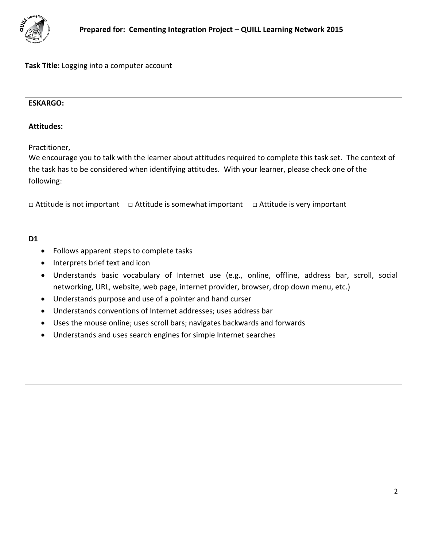

| <b>ESKARGO:</b>                                                                                                                                                                                                                                                                                                                                                                                                                                                                                                                                                                                                                                                      |
|----------------------------------------------------------------------------------------------------------------------------------------------------------------------------------------------------------------------------------------------------------------------------------------------------------------------------------------------------------------------------------------------------------------------------------------------------------------------------------------------------------------------------------------------------------------------------------------------------------------------------------------------------------------------|
| <b>Attitudes:</b>                                                                                                                                                                                                                                                                                                                                                                                                                                                                                                                                                                                                                                                    |
| Practitioner,<br>We encourage you to talk with the learner about attitudes required to complete this task set. The context of<br>the task has to be considered when identifying attitudes. With your learner, please check one of the<br>following:                                                                                                                                                                                                                                                                                                                                                                                                                  |
| $\Box$ Attitude is not important $\Box$ Attitude is somewhat important $\Box$ Attitude is very important                                                                                                                                                                                                                                                                                                                                                                                                                                                                                                                                                             |
| D <sub>1</sub><br>Follows apparent steps to complete tasks<br>$\bullet$<br>Interprets brief text and icon<br>$\bullet$<br>Understands basic vocabulary of Internet use (e.g., online, offline, address bar, scroll, social<br>$\bullet$<br>networking, URL, website, web page, internet provider, browser, drop down menu, etc.)<br>Understands purpose and use of a pointer and hand curser<br>$\bullet$<br>Understands conventions of Internet addresses; uses address bar<br>$\bullet$<br>Uses the mouse online; uses scroll bars; navigates backwards and forwards<br>$\bullet$<br>Understands and uses search engines for simple Internet searches<br>$\bullet$ |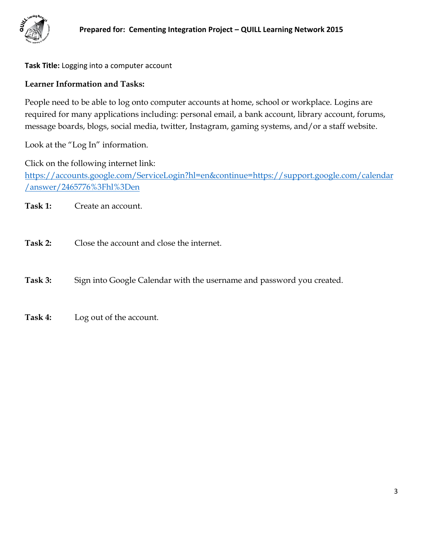

## **Learner Information and Tasks:**

People need to be able to log onto computer accounts at home, school or workplace. Logins are required for many applications including: personal email, a bank account, library account, forums, message boards, blogs, social media, twitter, Instagram, gaming systems, and/or a staff website.

Look at the "Log In" information.

Click on the following internet link: [https://accounts.google.com/ServiceLogin?hl=en&continue=https://support.google.com/calendar](https://accounts.google.com/ServiceLogin?hl=en&continue=https://support.google.com/calendar/answer/2465776%3Fhl%3Den) [/answer/2465776%3Fhl%3Den](https://accounts.google.com/ServiceLogin?hl=en&continue=https://support.google.com/calendar/answer/2465776%3Fhl%3Den)

**Task 1:** Create an account.

**Task 2:** Close the account and close the internet.

Task 3: Sign into Google Calendar with the username and password you created.

**Task 4:** Log out of the account.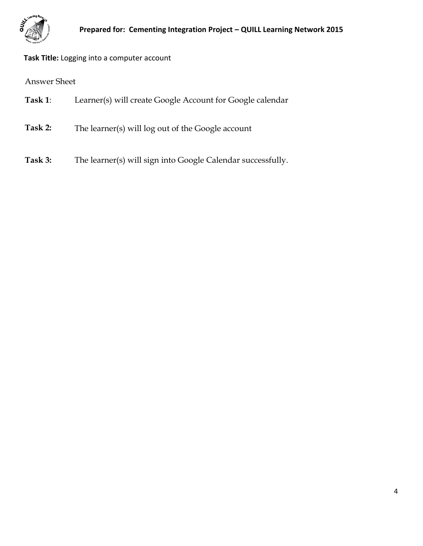

Answer Sheet

- **Task 1**: Learner(s) will create Google Account for Google calendar
- **Task 2:** The learner(s) will log out of the Google account
- **Task 3:** The learner(s) will sign into Google Calendar successfully.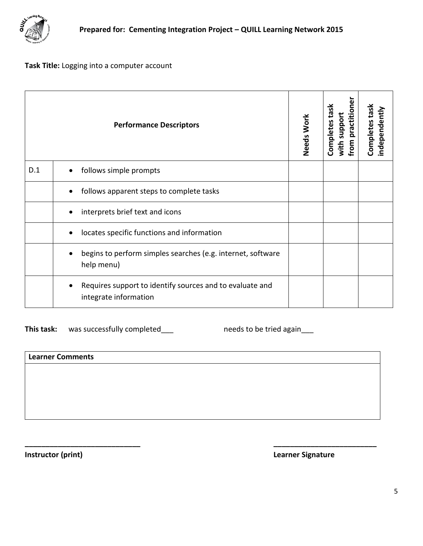

<span id="page-4-0"></span>

|     | <b>Performance Descriptors</b>                                                                 | Needs Work | from practitioner<br>task<br>with support<br>Completes | Completes task<br>independently |
|-----|------------------------------------------------------------------------------------------------|------------|--------------------------------------------------------|---------------------------------|
| D.1 | follows simple prompts<br>$\bullet$                                                            |            |                                                        |                                 |
|     | follows apparent steps to complete tasks<br>$\bullet$                                          |            |                                                        |                                 |
|     | interprets brief text and icons<br>$\bullet$                                                   |            |                                                        |                                 |
|     | locates specific functions and information<br>$\bullet$                                        |            |                                                        |                                 |
|     | begins to perform simples searches (e.g. internet, software<br>$\bullet$<br>help menu)         |            |                                                        |                                 |
|     | Requires support to identify sources and to evaluate and<br>$\bullet$<br>integrate information |            |                                                        |                                 |

This task: was successfully completed\_\_\_ needs to be tried again\_\_\_

| <b>Learner Comments</b> |  |
|-------------------------|--|
|                         |  |
|                         |  |
|                         |  |
|                         |  |

**\_\_\_\_\_\_\_\_\_\_\_\_\_\_\_\_\_\_\_\_\_\_\_\_\_\_\_\_ \_\_\_\_\_\_\_\_\_\_\_\_\_\_\_\_\_\_\_\_\_\_\_\_\_** 

**Instructor (print) Instructor (print) Learner Signature**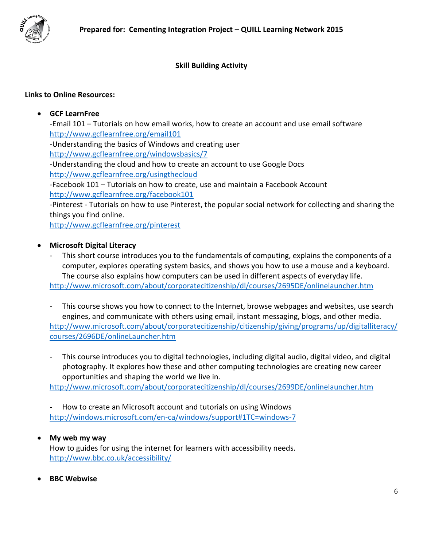

## **Skill Building Activity**

### <span id="page-5-0"></span>**Links to Online Resources:**

### **GCF LearnFree**

-Email 101 – Tutorials on how email works, how to create an account and use email software <http://www.gcflearnfree.org/email101> -Understanding the basics of Windows and creating user <http://www.gcflearnfree.org/windowsbasics/7> -Understanding the cloud and how to create an account to use Google Docs <http://www.gcflearnfree.org/usingthecloud> -Facebook 101 – Tutorials on how to create, use and maintain a Facebook Account <http://www.gcflearnfree.org/facebook101> -Pinterest - Tutorials on how to use Pinterest, the popular social network for collecting and sharing the things you find online.

<http://www.gcflearnfree.org/pinterest>

#### **Microsoft Digital Literacy**

- This short course introduces you to the fundamentals of computing, explains the components of a computer, explores operating system basics, and shows you how to use a mouse and a keyboard. The course also explains how computers can be used in different aspects of everyday life. <http://www.microsoft.com/about/corporatecitizenship/dl/courses/2695DE/onlinelauncher.htm>
- This course shows you how to connect to the Internet, browse webpages and websites, use search engines, and communicate with others using email, instant messaging, blogs, and other media. [http://www.microsoft.com/about/corporatecitizenship/citizenship/giving/programs/up/digitalliteracy/](http://www.microsoft.com/about/corporatecitizenship/citizenship/giving/programs/up/digitalliteracy/courses/2696DE/onlineLauncher.htm) [courses/2696DE/onlineLauncher.htm](http://www.microsoft.com/about/corporatecitizenship/citizenship/giving/programs/up/digitalliteracy/courses/2696DE/onlineLauncher.htm)
- This course introduces you to digital technologies, including digital audio, digital video, and digital photography. It explores how these and other computing technologies are creating new career opportunities and shaping the world we live in.

<http://www.microsoft.com/about/corporatecitizenship/dl/courses/2699DE/onlinelauncher.htm>

- How to create an Microsoft account and tutorials on using Windows <http://windows.microsoft.com/en-ca/windows/support#1TC=windows-7>

#### **My web my way**

How to guides for using the internet for learners with accessibility needs. <http://www.bbc.co.uk/accessibility/>

**BBC Webwise**